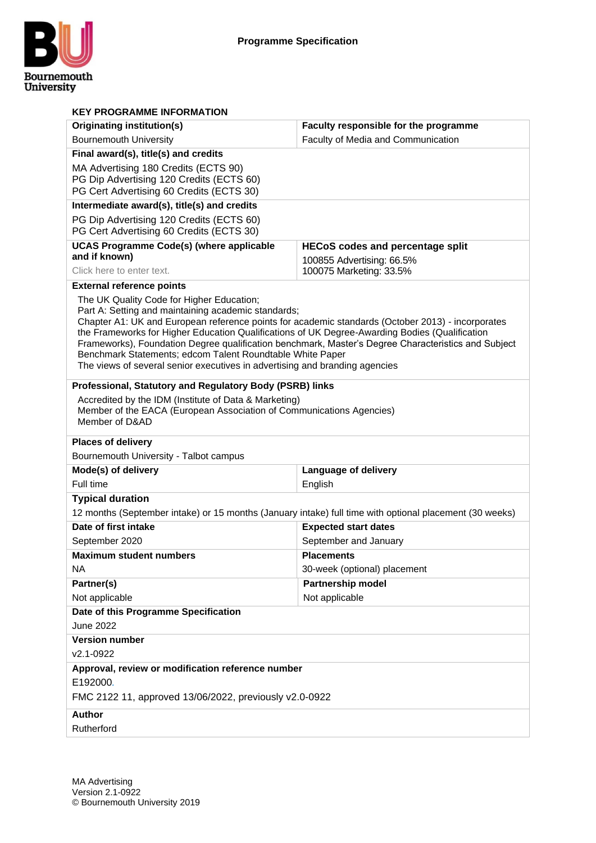

| <b>KEY PROGRAMME INFORMATION</b>                                                                                                                                                                    |                                                                                                     |  |  |  |  |  |  |  |  |
|-----------------------------------------------------------------------------------------------------------------------------------------------------------------------------------------------------|-----------------------------------------------------------------------------------------------------|--|--|--|--|--|--|--|--|
| Originating institution(s)                                                                                                                                                                          | Faculty responsible for the programme                                                               |  |  |  |  |  |  |  |  |
| <b>Bournemouth University</b>                                                                                                                                                                       | Faculty of Media and Communication                                                                  |  |  |  |  |  |  |  |  |
| Final award(s), title(s) and credits                                                                                                                                                                |                                                                                                     |  |  |  |  |  |  |  |  |
| MA Advertising 180 Credits (ECTS 90)                                                                                                                                                                |                                                                                                     |  |  |  |  |  |  |  |  |
| PG Dip Advertising 120 Credits (ECTS 60)<br>PG Cert Advertising 60 Credits (ECTS 30)                                                                                                                |                                                                                                     |  |  |  |  |  |  |  |  |
|                                                                                                                                                                                                     |                                                                                                     |  |  |  |  |  |  |  |  |
| Intermediate award(s), title(s) and credits<br>PG Dip Advertising 120 Credits (ECTS 60)                                                                                                             |                                                                                                     |  |  |  |  |  |  |  |  |
| PG Cert Advertising 60 Credits (ECTS 30)                                                                                                                                                            |                                                                                                     |  |  |  |  |  |  |  |  |
| <b>UCAS Programme Code(s) (where applicable</b>                                                                                                                                                     | <b>HECoS codes and percentage split</b>                                                             |  |  |  |  |  |  |  |  |
| and if known)                                                                                                                                                                                       | 100855 Advertising: 66.5%                                                                           |  |  |  |  |  |  |  |  |
| Click here to enter text.                                                                                                                                                                           | 100075 Marketing: 33.5%                                                                             |  |  |  |  |  |  |  |  |
| <b>External reference points</b>                                                                                                                                                                    |                                                                                                     |  |  |  |  |  |  |  |  |
| The UK Quality Code for Higher Education;                                                                                                                                                           |                                                                                                     |  |  |  |  |  |  |  |  |
| Part A: Setting and maintaining academic standards;                                                                                                                                                 |                                                                                                     |  |  |  |  |  |  |  |  |
| Chapter A1: UK and European reference points for academic standards (October 2013) - incorporates<br>the Frameworks for Higher Education Qualifications of UK Degree-Awarding Bodies (Qualification |                                                                                                     |  |  |  |  |  |  |  |  |
|                                                                                                                                                                                                     | Frameworks), Foundation Degree qualification benchmark, Master's Degree Characteristics and Subject |  |  |  |  |  |  |  |  |
| Benchmark Statements; edcom Talent Roundtable White Paper                                                                                                                                           |                                                                                                     |  |  |  |  |  |  |  |  |
| The views of several senior executives in advertising and branding agencies                                                                                                                         |                                                                                                     |  |  |  |  |  |  |  |  |
| Professional, Statutory and Regulatory Body (PSRB) links                                                                                                                                            |                                                                                                     |  |  |  |  |  |  |  |  |
| Accredited by the IDM (Institute of Data & Marketing)                                                                                                                                               |                                                                                                     |  |  |  |  |  |  |  |  |
| Member of the EACA (European Association of Communications Agencies)                                                                                                                                |                                                                                                     |  |  |  |  |  |  |  |  |
| Member of D&AD                                                                                                                                                                                      |                                                                                                     |  |  |  |  |  |  |  |  |
| <b>Places of delivery</b>                                                                                                                                                                           |                                                                                                     |  |  |  |  |  |  |  |  |
|                                                                                                                                                                                                     |                                                                                                     |  |  |  |  |  |  |  |  |
| Bournemouth University - Talbot campus                                                                                                                                                              |                                                                                                     |  |  |  |  |  |  |  |  |
| Mode(s) of delivery                                                                                                                                                                                 | Language of delivery                                                                                |  |  |  |  |  |  |  |  |
| Full time                                                                                                                                                                                           | English                                                                                             |  |  |  |  |  |  |  |  |
| <b>Typical duration</b>                                                                                                                                                                             |                                                                                                     |  |  |  |  |  |  |  |  |
| 12 months (September intake) or 15 months (January intake) full time with optional placement (30 weeks)                                                                                             |                                                                                                     |  |  |  |  |  |  |  |  |
| Date of first intake                                                                                                                                                                                | <b>Expected start dates</b>                                                                         |  |  |  |  |  |  |  |  |
| September 2020                                                                                                                                                                                      | September and January                                                                               |  |  |  |  |  |  |  |  |
| <b>Maximum student numbers</b>                                                                                                                                                                      | <b>Placements</b>                                                                                   |  |  |  |  |  |  |  |  |
| <b>NA</b>                                                                                                                                                                                           | 30-week (optional) placement                                                                        |  |  |  |  |  |  |  |  |
| Partner(s)                                                                                                                                                                                          | Partnership model                                                                                   |  |  |  |  |  |  |  |  |
| Not applicable                                                                                                                                                                                      | Not applicable                                                                                      |  |  |  |  |  |  |  |  |
| Date of this Programme Specification                                                                                                                                                                |                                                                                                     |  |  |  |  |  |  |  |  |
| <b>June 2022</b>                                                                                                                                                                                    |                                                                                                     |  |  |  |  |  |  |  |  |
| <b>Version number</b>                                                                                                                                                                               |                                                                                                     |  |  |  |  |  |  |  |  |
| v2.1-0922                                                                                                                                                                                           |                                                                                                     |  |  |  |  |  |  |  |  |
| Approval, review or modification reference number                                                                                                                                                   |                                                                                                     |  |  |  |  |  |  |  |  |
| E192000.                                                                                                                                                                                            |                                                                                                     |  |  |  |  |  |  |  |  |
| FMC 2122 11, approved 13/06/2022, previously v2.0-0922                                                                                                                                              |                                                                                                     |  |  |  |  |  |  |  |  |
| <b>Author</b>                                                                                                                                                                                       |                                                                                                     |  |  |  |  |  |  |  |  |
| Rutherford                                                                                                                                                                                          |                                                                                                     |  |  |  |  |  |  |  |  |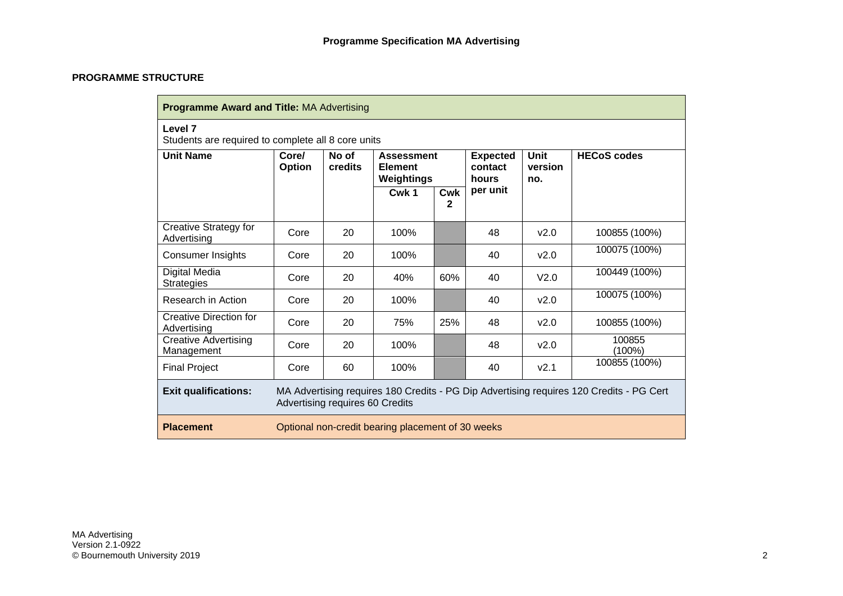### **PROGRAMME STRUCTURE**

| <b>Programme Award and Title: MA Advertising</b>              |                                                                                                                            |                  |                                                   |          |                                     |                               |                     |  |  |  |  |  |
|---------------------------------------------------------------|----------------------------------------------------------------------------------------------------------------------------|------------------|---------------------------------------------------|----------|-------------------------------------|-------------------------------|---------------------|--|--|--|--|--|
| Level 7<br>Students are required to complete all 8 core units |                                                                                                                            |                  |                                                   |          |                                     |                               |                     |  |  |  |  |  |
| <b>Unit Name</b>                                              | Core/<br><b>Option</b>                                                                                                     | No of<br>credits | <b>Assessment</b><br><b>Element</b><br>Weightings |          | <b>Expected</b><br>contact<br>hours | <b>Unit</b><br>version<br>no. | <b>HECoS codes</b>  |  |  |  |  |  |
|                                                               |                                                                                                                            |                  | Cwk 1                                             | Cwk<br>2 | per unit                            |                               |                     |  |  |  |  |  |
| <b>Creative Strategy for</b><br>Advertising                   | Core                                                                                                                       | 20               | 100%                                              |          | 48                                  | v2.0                          | 100855 (100%)       |  |  |  |  |  |
| <b>Consumer Insights</b>                                      | Core                                                                                                                       | 20               | 100%                                              |          | 40                                  | v2.0                          | 100075 (100%)       |  |  |  |  |  |
| Digital Media<br><b>Strategies</b>                            | Core                                                                                                                       | 20               | 40%                                               | 60%      | 40                                  | V <sub>2.0</sub>              | 100449 (100%)       |  |  |  |  |  |
| Research in Action                                            | Core                                                                                                                       | 20               | 100%                                              |          | 40                                  | v2.0                          | 100075 (100%)       |  |  |  |  |  |
| Creative Direction for<br>Advertising                         | Core                                                                                                                       | 20               | 75%                                               | 25%      | 48                                  | v2.0                          | 100855 (100%)       |  |  |  |  |  |
| Creative Advertising<br>Management                            | Core                                                                                                                       | 20               | 100%                                              |          | 48                                  | v2.0                          | 100855<br>$(100\%)$ |  |  |  |  |  |
| <b>Final Project</b>                                          | Core                                                                                                                       | 60               | 100%                                              |          | 40                                  | V <sub>2.1</sub>              | 100855 (100%)       |  |  |  |  |  |
| <b>Exit qualifications:</b>                                   | MA Advertising requires 180 Credits - PG Dip Advertising requires 120 Credits - PG Cert<br>Advertising requires 60 Credits |                  |                                                   |          |                                     |                               |                     |  |  |  |  |  |
| <b>Placement</b>                                              | Optional non-credit bearing placement of 30 weeks                                                                          |                  |                                                   |          |                                     |                               |                     |  |  |  |  |  |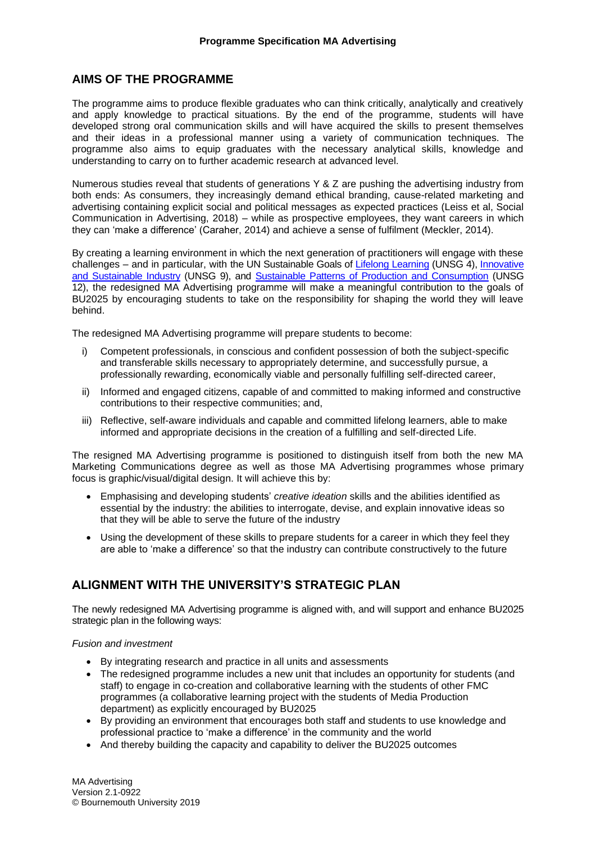### **AIMS OF THE PROGRAMME**

The programme aims to produce flexible graduates who can think critically, analytically and creatively and apply knowledge to practical situations. By the end of the programme, students will have developed strong oral communication skills and will have acquired the skills to present themselves and their ideas in a professional manner using a variety of communication techniques. The programme also aims to equip graduates with the necessary analytical skills, knowledge and understanding to carry on to further academic research at advanced level.

Numerous studies reveal that students of generations Y & Z are pushing the advertising industry from both ends: As consumers, they increasingly demand ethical branding, cause-related marketing and advertising containing explicit social and political messages as expected practices (Leiss et al, Social Communication in Advertising, 2018) – while as prospective employees, they want careers in which they can 'make a difference' (Caraher, 2014) and achieve a sense of fulfilment (Meckler, 2014).

By creating a learning environment in which the next generation of practitioners will engage with these challenges – and in particular, with the UN Sustainable Goals of [Lifelong Learning](file:///D:/Bournemouth%20U/Advertising/MA%20Advertising/2019-20/revalidation/promote%20lifelong%20learning%20(UNSG%204)) (UNSG 4), Innovative [and Sustainable Industry](https://sustainabledevelopment.un.org/sdg9) (UNSG 9), and [Sustainable Patterns of Production and Consumption](https://sustainabledevelopment.un.org/sdg12) (UNSG 12), the redesigned MA Advertising programme will make a meaningful contribution to the goals of BU2025 by encouraging students to take on the responsibility for shaping the world they will leave behind.

The redesigned MA Advertising programme will prepare students to become:

- i) Competent professionals, in conscious and confident possession of both the subject-specific and transferable skills necessary to appropriately determine, and successfully pursue, a professionally rewarding, economically viable and personally fulfilling self-directed career,
- ii) Informed and engaged citizens, capable of and committed to making informed and constructive contributions to their respective communities; and,
- iii) Reflective, self-aware individuals and capable and committed lifelong learners, able to make informed and appropriate decisions in the creation of a fulfilling and self-directed Life.

The resigned MA Advertising programme is positioned to distinguish itself from both the new MA Marketing Communications degree as well as those MA Advertising programmes whose primary focus is graphic/visual/digital design. It will achieve this by:

- Emphasising and developing students' *creative ideation* skills and the abilities identified as essential by the industry: the abilities to interrogate, devise, and explain innovative ideas so that they will be able to serve the future of the industry
- Using the development of these skills to prepare students for a career in which they feel they are able to 'make a difference' so that the industry can contribute constructively to the future

# **ALIGNMENT WITH THE UNIVERSITY'S STRATEGIC PLAN**

The newly redesigned MA Advertising programme is aligned with, and will support and enhance BU2025 strategic plan in the following ways:

### *Fusion and investment*

- By integrating research and practice in all units and assessments
- The redesigned programme includes a new unit that includes an opportunity for students (and staff) to engage in co-creation and collaborative learning with the students of other FMC programmes (a collaborative learning project with the students of Media Production department) as explicitly encouraged by BU2025
- By providing an environment that encourages both staff and students to use knowledge and professional practice to 'make a difference' in the community and the world
- And thereby building the capacity and capability to deliver the BU2025 outcomes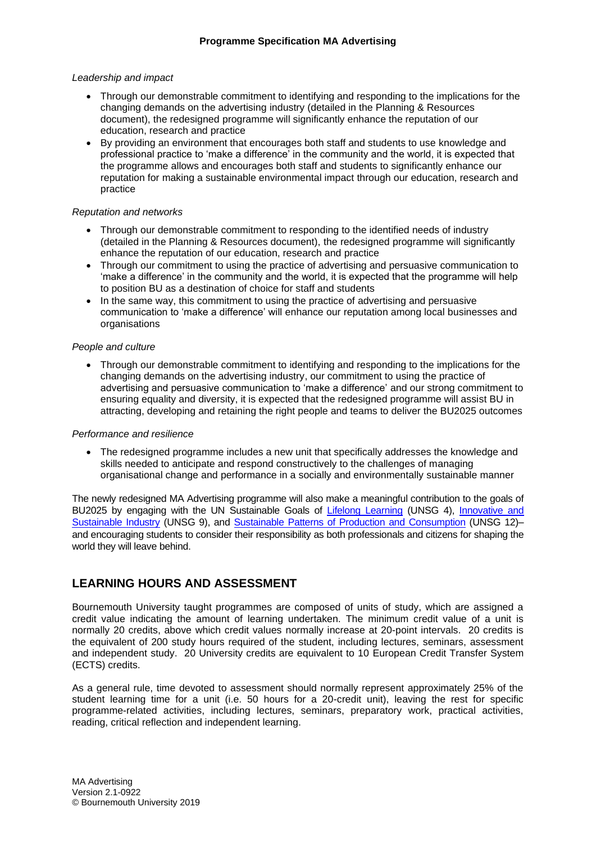#### *Leadership and impact*

- Through our demonstrable commitment to identifying and responding to the implications for the changing demands on the advertising industry (detailed in the Planning & Resources document), the redesigned programme will significantly enhance the reputation of our education, research and practice
- By providing an environment that encourages both staff and students to use knowledge and professional practice to 'make a difference' in the community and the world, it is expected that the programme allows and encourages both staff and students to significantly enhance our reputation for making a sustainable environmental impact through our education, research and practice

#### *Reputation and networks*

- Through our demonstrable commitment to responding to the identified needs of industry (detailed in the Planning & Resources document), the redesigned programme will significantly enhance the reputation of our education, research and practice
- Through our commitment to using the practice of advertising and persuasive communication to 'make a difference' in the community and the world, it is expected that the programme will help to position BU as a destination of choice for staff and students
- In the same way, this commitment to using the practice of advertising and persuasive communication to 'make a difference' will enhance our reputation among local businesses and organisations

#### *People and culture*

• Through our demonstrable commitment to identifying and responding to the implications for the changing demands on the advertising industry, our commitment to using the practice of advertising and persuasive communication to 'make a difference' and our strong commitment to ensuring equality and diversity, it is expected that the redesigned programme will assist BU in attracting, developing and retaining the right people and teams to deliver the BU2025 outcomes

#### *Performance and resilience*

• The redesigned programme includes a new unit that specifically addresses the knowledge and skills needed to anticipate and respond constructively to the challenges of managing organisational change and performance in a socially and environmentally sustainable manner

The newly redesigned MA Advertising programme will also make a meaningful contribution to the goals of BU2025 by engaging with the UN Sustainable Goals of [Lifelong Learning](file:///D:/Bournemouth%20U/Advertising/MA%20Advertising/2019-20/revalidation/promote%20lifelong%20learning%20(UNSG%204)) (UNSG 4), Innovative and [Sustainable Industry](https://sustainabledevelopment.un.org/sdg9) (UNSG 9), and [Sustainable Patterns of Production and Consumption](https://sustainabledevelopment.un.org/sdg12) (UNSG 12)– and encouraging students to consider their responsibility as both professionals and citizens for shaping the world they will leave behind.

### **LEARNING HOURS AND ASSESSMENT**

Bournemouth University taught programmes are composed of units of study, which are assigned a credit value indicating the amount of learning undertaken. The minimum credit value of a unit is normally 20 credits, above which credit values normally increase at 20-point intervals. 20 credits is the equivalent of 200 study hours required of the student, including lectures, seminars, assessment and independent study. 20 University credits are equivalent to 10 European Credit Transfer System (ECTS) credits.

As a general rule, time devoted to assessment should normally represent approximately 25% of the student learning time for a unit (i.e. 50 hours for a 20-credit unit), leaving the rest for specific programme-related activities, including lectures, seminars, preparatory work, practical activities, reading, critical reflection and independent learning.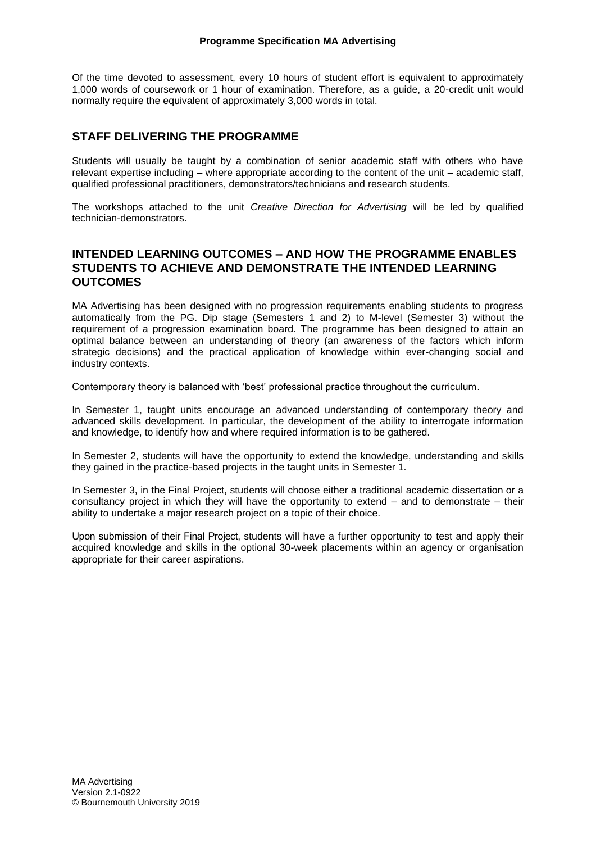Of the time devoted to assessment, every 10 hours of student effort is equivalent to approximately 1,000 words of coursework or 1 hour of examination. Therefore, as a guide, a 20-credit unit would normally require the equivalent of approximately 3,000 words in total.

## **STAFF DELIVERING THE PROGRAMME**

Students will usually be taught by a combination of senior academic staff with others who have relevant expertise including – where appropriate according to the content of the unit – academic staff, qualified professional practitioners, demonstrators/technicians and research students.

The workshops attached to the unit *Creative Direction for Advertising* will be led by qualified technician-demonstrators.

### **INTENDED LEARNING OUTCOMES – AND HOW THE PROGRAMME ENABLES STUDENTS TO ACHIEVE AND DEMONSTRATE THE INTENDED LEARNING OUTCOMES**

MA Advertising has been designed with no progression requirements enabling students to progress automatically from the PG. Dip stage (Semesters 1 and 2) to M-level (Semester 3) without the requirement of a progression examination board. The programme has been designed to attain an optimal balance between an understanding of theory (an awareness of the factors which inform strategic decisions) and the practical application of knowledge within ever-changing social and industry contexts.

Contemporary theory is balanced with 'best' professional practice throughout the curriculum.

In Semester 1, taught units encourage an advanced understanding of contemporary theory and advanced skills development. In particular, the development of the ability to interrogate information and knowledge, to identify how and where required information is to be gathered.

In Semester 2, students will have the opportunity to extend the knowledge, understanding and skills they gained in the practice-based projects in the taught units in Semester 1.

In Semester 3, in the Final Project, students will choose either a traditional academic dissertation or a consultancy project in which they will have the opportunity to extend – and to demonstrate – their ability to undertake a major research project on a topic of their choice.

Upon submission of their Final Project, students will have a further opportunity to test and apply their acquired knowledge and skills in the optional 30-week placements within an agency or organisation appropriate for their career aspirations.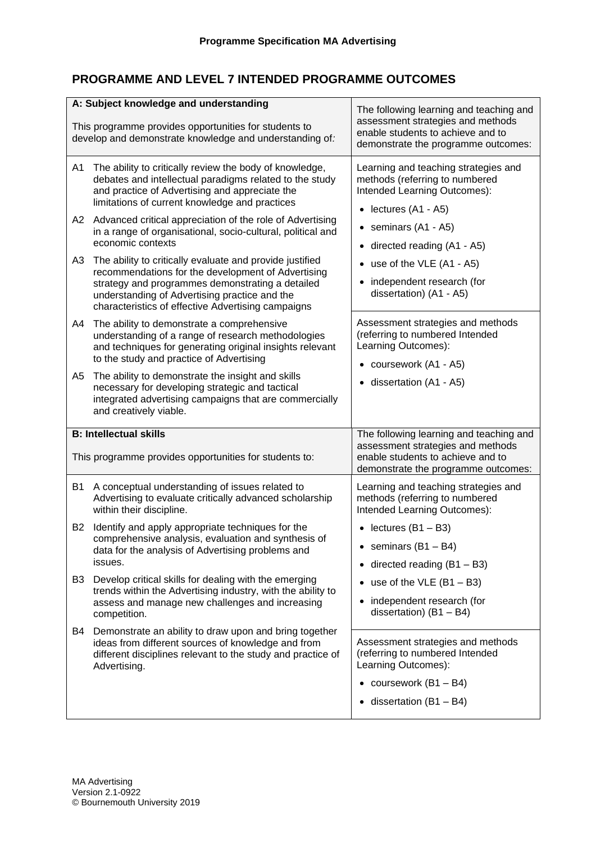# **PROGRAMME AND LEVEL 7 INTENDED PROGRAMME OUTCOMES**

|                | A: Subject knowledge and understanding<br>This programme provides opportunities for students to<br>develop and demonstrate knowledge and understanding of:                                                                                                                                                                                                                                                                                                                                                                                    | The following learning and teaching and<br>assessment strategies and methods<br>enable students to achieve and to<br>demonstrate the programme outcomes:                                                                                                      |
|----------------|-----------------------------------------------------------------------------------------------------------------------------------------------------------------------------------------------------------------------------------------------------------------------------------------------------------------------------------------------------------------------------------------------------------------------------------------------------------------------------------------------------------------------------------------------|---------------------------------------------------------------------------------------------------------------------------------------------------------------------------------------------------------------------------------------------------------------|
| A1<br>A2<br>A3 | The ability to critically review the body of knowledge,<br>debates and intellectual paradigms related to the study<br>and practice of Advertising and appreciate the<br>limitations of current knowledge and practices<br>Advanced critical appreciation of the role of Advertising<br>in a range of organisational, socio-cultural, political and<br>economic contexts<br>The ability to critically evaluate and provide justified<br>recommendations for the development of Advertising<br>strategy and programmes demonstrating a detailed | Learning and teaching strategies and<br>methods (referring to numbered<br>Intended Learning Outcomes):<br>$\bullet$ lectures (A1 - A5)<br>• seminars $(A1 - A5)$<br>• directed reading (A1 - A5)<br>• use of the VLE (A1 - A5)<br>• independent research (for |
| A4             | understanding of Advertising practice and the<br>characteristics of effective Advertising campaigns<br>The ability to demonstrate a comprehensive<br>understanding of a range of research methodologies<br>and techniques for generating original insights relevant                                                                                                                                                                                                                                                                           | dissertation) (A1 - A5)<br>Assessment strategies and methods<br>(referring to numbered Intended<br>Learning Outcomes):                                                                                                                                        |
| A5             | to the study and practice of Advertising<br>The ability to demonstrate the insight and skills<br>necessary for developing strategic and tactical<br>integrated advertising campaigns that are commercially<br>and creatively viable.                                                                                                                                                                                                                                                                                                          | • coursework (A1 - A5)<br>• dissertation (A1 - A5)                                                                                                                                                                                                            |
|                | <b>B: Intellectual skills</b><br>This programme provides opportunities for students to:                                                                                                                                                                                                                                                                                                                                                                                                                                                       | The following learning and teaching and<br>assessment strategies and methods<br>enable students to achieve and to<br>demonstrate the programme outcomes:                                                                                                      |
| B1             | A conceptual understanding of issues related to<br>Advertising to evaluate critically advanced scholarship<br>within their discipline.                                                                                                                                                                                                                                                                                                                                                                                                        | Learning and teaching strategies and<br>methods (referring to numbered<br>Intended Learning Outcomes):                                                                                                                                                        |
| B <sub>2</sub> | Identify and apply appropriate techniques for the<br>comprehensive analysis, evaluation and synthesis of<br>data for the analysis of Advertising problems and<br>issues.                                                                                                                                                                                                                                                                                                                                                                      | • lectures $(B1 - B3)$<br>• seminars $(B1 - B4)$<br>• directed reading $(B1 - B3)$                                                                                                                                                                            |
| B3             | Develop critical skills for dealing with the emerging<br>trends within the Advertising industry, with the ability to<br>assess and manage new challenges and increasing<br>competition.                                                                                                                                                                                                                                                                                                                                                       | • use of the VLE $(B1 - B3)$<br>• independent research (for<br>dissertation) $(B1 - B4)$                                                                                                                                                                      |
| B4             | Demonstrate an ability to draw upon and bring together<br>ideas from different sources of knowledge and from<br>different disciplines relevant to the study and practice of<br>Advertising.                                                                                                                                                                                                                                                                                                                                                   | Assessment strategies and methods<br>(referring to numbered Intended<br>Learning Outcomes):<br>• coursework $(B1 - B4)$                                                                                                                                       |
|                |                                                                                                                                                                                                                                                                                                                                                                                                                                                                                                                                               | $\bullet$ dissertation (B1 - B4)                                                                                                                                                                                                                              |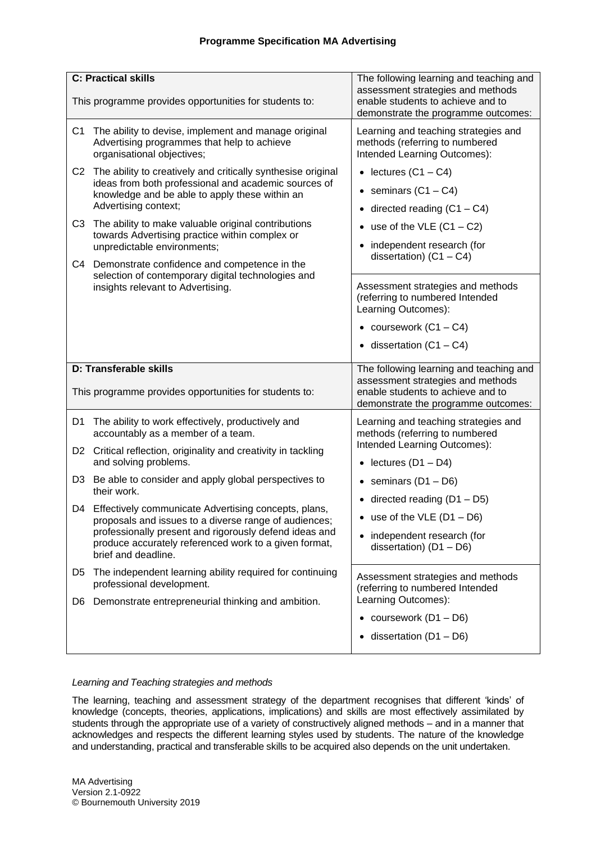### **Programme Specification MA Advertising**

| <b>C: Practical skills</b>                                                                                                                                                                                                                                                                                                                                                                                                                                                                                               | The following learning and teaching and                                                                                                                                                                                                                |
|--------------------------------------------------------------------------------------------------------------------------------------------------------------------------------------------------------------------------------------------------------------------------------------------------------------------------------------------------------------------------------------------------------------------------------------------------------------------------------------------------------------------------|--------------------------------------------------------------------------------------------------------------------------------------------------------------------------------------------------------------------------------------------------------|
| This programme provides opportunities for students to:                                                                                                                                                                                                                                                                                                                                                                                                                                                                   | assessment strategies and methods<br>enable students to achieve and to<br>demonstrate the programme outcomes:                                                                                                                                          |
| C <sub>1</sub><br>The ability to devise, implement and manage original<br>Advertising programmes that help to achieve<br>organisational objectives;                                                                                                                                                                                                                                                                                                                                                                      | Learning and teaching strategies and<br>methods (referring to numbered<br>Intended Learning Outcomes):                                                                                                                                                 |
| C <sub>2</sub><br>The ability to creatively and critically synthesise original<br>ideas from both professional and academic sources of<br>knowledge and be able to apply these within an<br>Advertising context;<br>The ability to make valuable original contributions<br>C <sub>3</sub><br>towards Advertising practice within complex or<br>unpredictable environments;<br>C4 Demonstrate confidence and competence in the<br>selection of contemporary digital technologies and<br>insights relevant to Advertising. | • lectures $(C1 - C4)$<br>• seminars $(C1 - C4)$<br>• directed reading $(C1 - C4)$<br>• use of the VLE $(C1 - C2)$<br>• independent research (for<br>dissertation) $(C1 - C4)$<br>Assessment strategies and methods<br>(referring to numbered Intended |
|                                                                                                                                                                                                                                                                                                                                                                                                                                                                                                                          | Learning Outcomes):<br>• coursework $(C1 - C4)$<br>$\bullet$ dissertation (C1 - C4)                                                                                                                                                                    |
| D: Transferable skills                                                                                                                                                                                                                                                                                                                                                                                                                                                                                                   | The following learning and teaching and                                                                                                                                                                                                                |
|                                                                                                                                                                                                                                                                                                                                                                                                                                                                                                                          | assessment strategies and methods                                                                                                                                                                                                                      |
| This programme provides opportunities for students to:                                                                                                                                                                                                                                                                                                                                                                                                                                                                   | enable students to achieve and to<br>demonstrate the programme outcomes:                                                                                                                                                                               |
| The ability to work effectively, productively and<br>D1<br>accountably as a member of a team.                                                                                                                                                                                                                                                                                                                                                                                                                            | Learning and teaching strategies and<br>methods (referring to numbered                                                                                                                                                                                 |
| D2 Critical reflection, originality and creativity in tackling<br>and solving problems.                                                                                                                                                                                                                                                                                                                                                                                                                                  | Intended Learning Outcomes):<br>• lectures $(D1 - D4)$                                                                                                                                                                                                 |
| Be able to consider and apply global perspectives to<br>D <sub>3</sub><br>their work.                                                                                                                                                                                                                                                                                                                                                                                                                                    | • seminars $(D1 - D6)$                                                                                                                                                                                                                                 |
| D4 Effectively communicate Advertising concepts, plans,<br>proposals and issues to a diverse range of audiences;<br>professionally present and rigorously defend ideas and<br>produce accurately referenced work to a given format,<br>brief and deadline.                                                                                                                                                                                                                                                               | • directed reading $(D1 - D5)$<br>use of the $VLE$ (D1 - D6)<br>• independent research (for<br>dissertation) $(D1 - D6)$                                                                                                                               |
| The independent learning ability required for continuing<br>D5<br>professional development.                                                                                                                                                                                                                                                                                                                                                                                                                              | Assessment strategies and methods<br>(referring to numbered Intended                                                                                                                                                                                   |
| Demonstrate entrepreneurial thinking and ambition.<br>D6                                                                                                                                                                                                                                                                                                                                                                                                                                                                 | Learning Outcomes):                                                                                                                                                                                                                                    |
|                                                                                                                                                                                                                                                                                                                                                                                                                                                                                                                          | • coursework $(D1 - D6)$                                                                                                                                                                                                                               |

### *Learning and Teaching strategies and methods*

The learning, teaching and assessment strategy of the department recognises that different 'kinds' of knowledge (concepts, theories, applications, implications) and skills are most effectively assimilated by students through the appropriate use of a variety of constructively aligned methods – and in a manner that acknowledges and respects the different learning styles used by students. The nature of the knowledge and understanding, practical and transferable skills to be acquired also depends on the unit undertaken.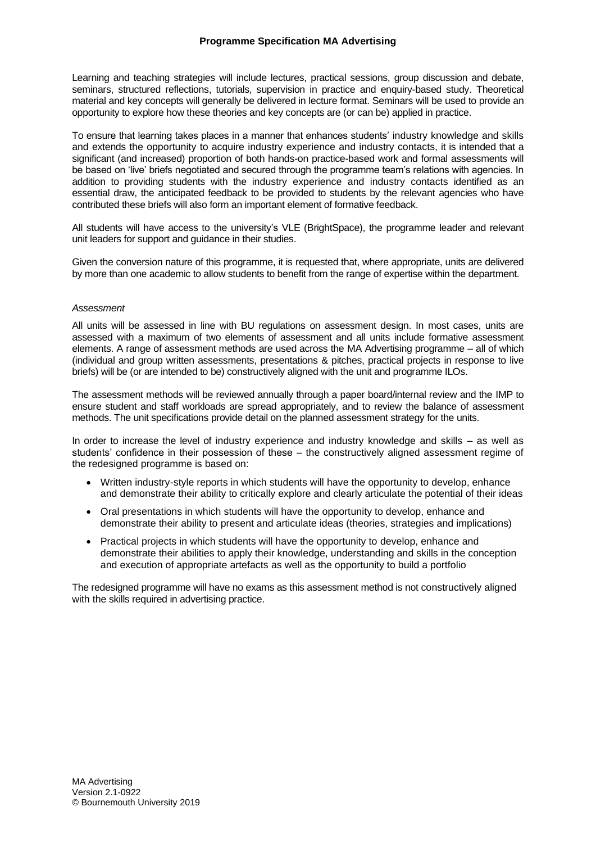Learning and teaching strategies will include lectures, practical sessions, group discussion and debate, seminars, structured reflections, tutorials, supervision in practice and enquiry-based study. Theoretical material and key concepts will generally be delivered in lecture format. Seminars will be used to provide an opportunity to explore how these theories and key concepts are (or can be) applied in practice.

To ensure that learning takes places in a manner that enhances students' industry knowledge and skills and extends the opportunity to acquire industry experience and industry contacts, it is intended that a significant (and increased) proportion of both hands-on practice-based work and formal assessments will be based on 'live' briefs negotiated and secured through the programme team's relations with agencies. In addition to providing students with the industry experience and industry contacts identified as an essential draw, the anticipated feedback to be provided to students by the relevant agencies who have contributed these briefs will also form an important element of formative feedback.

All students will have access to the university's VLE (BrightSpace), the programme leader and relevant unit leaders for support and guidance in their studies.

Given the conversion nature of this programme, it is requested that, where appropriate, units are delivered by more than one academic to allow students to benefit from the range of expertise within the department.

#### *Assessment*

All units will be assessed in line with BU regulations on assessment design. In most cases, units are assessed with a maximum of two elements of assessment and all units include formative assessment elements. A range of assessment methods are used across the MA Advertising programme – all of which (individual and group written assessments, presentations & pitches, practical projects in response to live briefs) will be (or are intended to be) constructively aligned with the unit and programme ILOs.

The assessment methods will be reviewed annually through a paper board/internal review and the IMP to ensure student and staff workloads are spread appropriately, and to review the balance of assessment methods. The unit specifications provide detail on the planned assessment strategy for the units.

In order to increase the level of industry experience and industry knowledge and skills – as well as students' confidence in their possession of these – the constructively aligned assessment regime of the redesigned programme is based on:

- Written industry-style reports in which students will have the opportunity to develop, enhance and demonstrate their ability to critically explore and clearly articulate the potential of their ideas
- Oral presentations in which students will have the opportunity to develop, enhance and demonstrate their ability to present and articulate ideas (theories, strategies and implications)
- Practical projects in which students will have the opportunity to develop, enhance and demonstrate their abilities to apply their knowledge, understanding and skills in the conception and execution of appropriate artefacts as well as the opportunity to build a portfolio

The redesigned programme will have no exams as this assessment method is not constructively aligned with the skills required in advertising practice.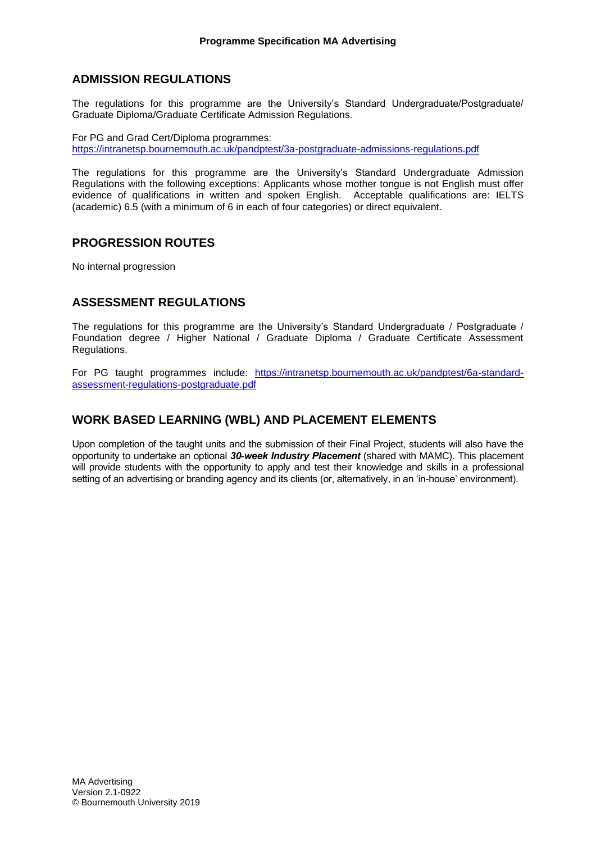### **ADMISSION REGULATIONS**

The regulations for this programme are the University's Standard Undergraduate/Postgraduate/ Graduate Diploma/Graduate Certificate Admission Regulations*.*

For PG and Grad Cert/Diploma programmes: <https://intranetsp.bournemouth.ac.uk/pandptest/3a-postgraduate-admissions-regulations.pdf>

The regulations for this programme are the University's Standard Undergraduate Admission Regulations with the following exceptions: Applicants whose mother tongue is not English must offer evidence of qualifications in written and spoken English. Acceptable qualifications are: IELTS (academic) 6.5 (with a minimum of 6 in each of four categories) or direct equivalent.

### **PROGRESSION ROUTES**

No internal progression

# **ASSESSMENT REGULATIONS**

The regulations for this programme are the University's Standard Undergraduate / Postgraduate / Foundation degree / Higher National / Graduate Diploma / Graduate Certificate Assessment Regulations.

For PG taught programmes include: [https://intranetsp.bournemouth.ac.uk/pandptest/6a-standard](https://intranetsp.bournemouth.ac.uk/pandptest/6a-standard-assessment-regulations-postgraduate-1718.pdf)[assessment-regulations-postgraduate.pdf](https://intranetsp.bournemouth.ac.uk/pandptest/6a-standard-assessment-regulations-postgraduate-1718.pdf)

# **WORK BASED LEARNING (WBL) AND PLACEMENT ELEMENTS**

Upon completion of the taught units and the submission of their Final Project, students will also have the opportunity to undertake an optional *30-week Industry Placement* (shared with MAMC). This placement will provide students with the opportunity to apply and test their knowledge and skills in a professional setting of an advertising or branding agency and its clients (or, alternatively, in an 'in-house' environment).